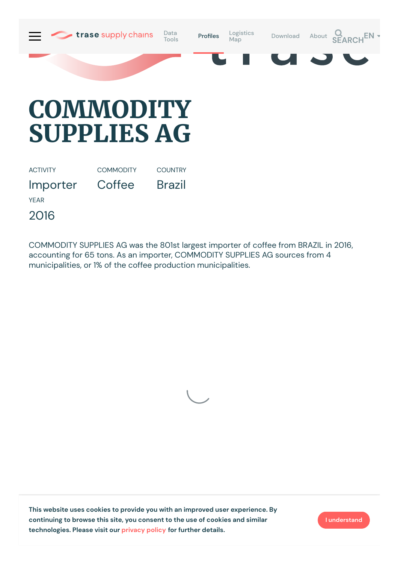

## **COMMODITY SUPPLIES AG**

ACTIVITY Importer **COMMODITY Coffee COUNTRY** Brazil YEAR 2016

COMMODITY SUPPLIES AG was the 801st largest importer of coffee from BRAZIL in 2016, accounting for 65 tons. As an importer, COMMODITY SUPPLIES AG sources from 4 municipalities, or 1% of the coffee production municipalities.



**This website uses cookies to provide you with an improved user experience. By continuing to browse this site, you consent to the use of cookies and similar technologies. Please visit our [privacy](https://www.trase.earth/privacy-policy) policy for further details.**

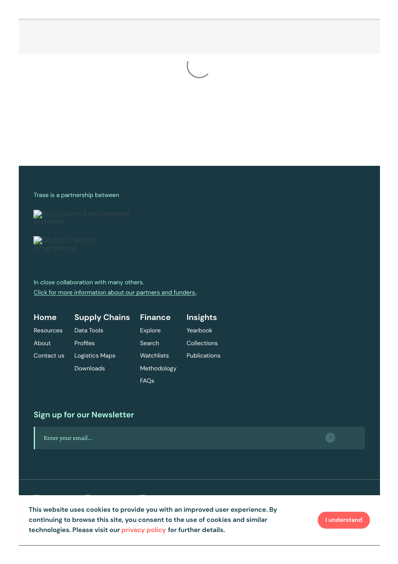## Trase is a partnership between



Stockholm [Environment](https://sei-international.org/)



In close collaboration with many others. Click for more [information](https://www.trase.earth/about/) about our partners and funders.

| Home             | <b>Supply Chains</b>  | <b>Finance</b> | <b>Insights</b>     |
|------------------|-----------------------|----------------|---------------------|
| <b>Resources</b> | Data Tools            | <b>Explore</b> | Yearbook            |
| About            | Profiles              | Search         | Collections         |
| Contact us       | <b>Logistics Maps</b> | Watchlists     | <b>Publications</b> |
|                  | Downloads             | Methodology    |                     |
|                  |                       | <b>FAQs</b>    |                     |

## **Sign up for our Newsletter**

Enter your email...

This website uses cookies to provide you with an improved user experience. By<br>accuracing to the coordination in a second to the coordinate distribution of the second station of the second Gordon and Betty Moore [Foundation](https://www.moore.org/) **technologies. Please visit our privacy policy for further details. continuing to browse this site, you consent to the use of cookies and similar**

**I understand**

 $\bullet$